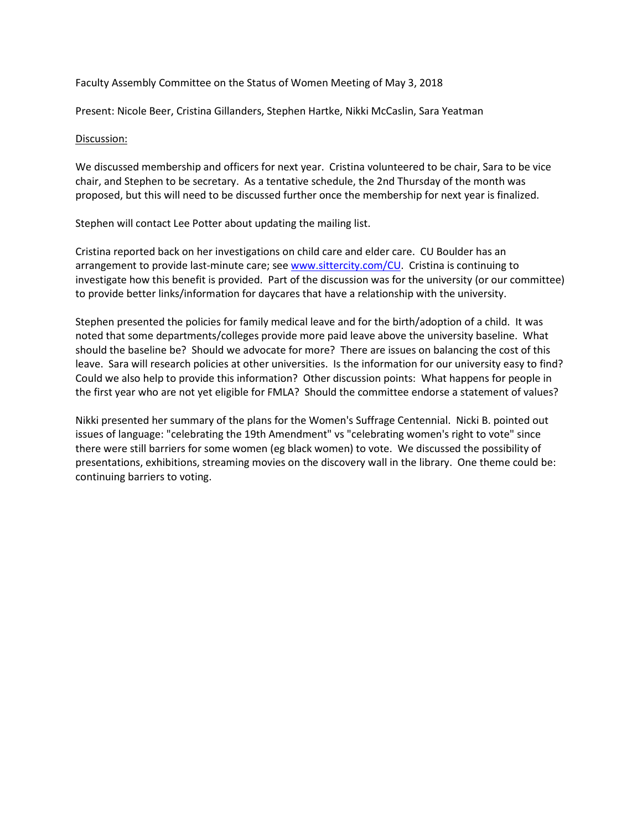Faculty Assembly Committee on the Status of Women Meeting of May 3, 2018

Present: Nicole Beer, Cristina Gillanders, Stephen Hartke, Nikki McCaslin, Sara Yeatman

## Discussion:

We discussed membership and officers for next year. Cristina volunteered to be chair, Sara to be vice chair, and Stephen to be secretary. As a tentative schedule, the 2nd Thursday of the month was proposed, but this will need to be discussed further once the membership for next year is finalized.

Stephen will contact Lee Potter about updating the mailing list.

Cristina reported back on her investigations on child care and elder care. CU Boulder has an arrangement to provide last-minute care; se[e www.sittercity.com/CU.](http://www.sittercity.com/CU) Cristina is continuing to investigate how this benefit is provided. Part of the discussion was for the university (or our committee) to provide better links/information for daycares that have a relationship with the university.

Stephen presented the policies for family medical leave and for the birth/adoption of a child. It was noted that some departments/colleges provide more paid leave above the university baseline. What should the baseline be? Should we advocate for more? There are issues on balancing the cost of this leave. Sara will research policies at other universities. Is the information for our university easy to find? Could we also help to provide this information? Other discussion points: What happens for people in the first year who are not yet eligible for FMLA? Should the committee endorse a statement of values?

Nikki presented her summary of the plans for the Women's Suffrage Centennial. Nicki B. pointed out issues of language: "celebrating the 19th Amendment" vs "celebrating women's right to vote" since there were still barriers for some women (eg black women) to vote. We discussed the possibility of presentations, exhibitions, streaming movies on the discovery wall in the library. One theme could be: continuing barriers to voting.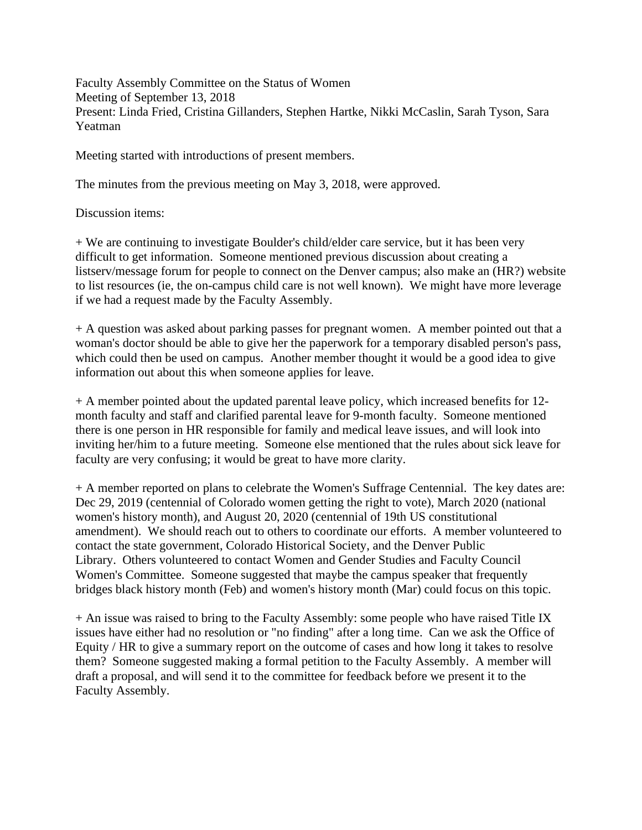Faculty Assembly Committee on the Status of Women Meeting of September 13, 2018 Present: Linda Fried, Cristina Gillanders, Stephen Hartke, Nikki McCaslin, Sarah Tyson, Sara Yeatman

Meeting started with introductions of present members.

The minutes from the previous meeting on May 3, 2018, were approved.

Discussion items:

+ We are continuing to investigate Boulder's child/elder care service, but it has been very difficult to get information. Someone mentioned previous discussion about creating a listserv/message forum for people to connect on the Denver campus; also make an (HR?) website to list resources (ie, the on-campus child care is not well known). We might have more leverage if we had a request made by the Faculty Assembly.

+ A question was asked about parking passes for pregnant women. A member pointed out that a woman's doctor should be able to give her the paperwork for a temporary disabled person's pass, which could then be used on campus. Another member thought it would be a good idea to give information out about this when someone applies for leave.

+ A member pointed about the updated parental leave policy, which increased benefits for 12 month faculty and staff and clarified parental leave for 9-month faculty. Someone mentioned there is one person in HR responsible for family and medical leave issues, and will look into inviting her/him to a future meeting. Someone else mentioned that the rules about sick leave for faculty are very confusing; it would be great to have more clarity.

+ A member reported on plans to celebrate the Women's Suffrage Centennial. The key dates are: Dec 29, 2019 (centennial of Colorado women getting the right to vote), March 2020 (national women's history month), and August 20, 2020 (centennial of 19th US constitutional amendment). We should reach out to others to coordinate our efforts. A member volunteered to contact the state government, Colorado Historical Society, and the Denver Public Library. Others volunteered to contact Women and Gender Studies and Faculty Council Women's Committee. Someone suggested that maybe the campus speaker that frequently bridges black history month (Feb) and women's history month (Mar) could focus on this topic.

+ An issue was raised to bring to the Faculty Assembly: some people who have raised Title IX issues have either had no resolution or "no finding" after a long time. Can we ask the Office of Equity / HR to give a summary report on the outcome of cases and how long it takes to resolve them? Someone suggested making a formal petition to the Faculty Assembly. A member will draft a proposal, and will send it to the committee for feedback before we present it to the Faculty Assembly.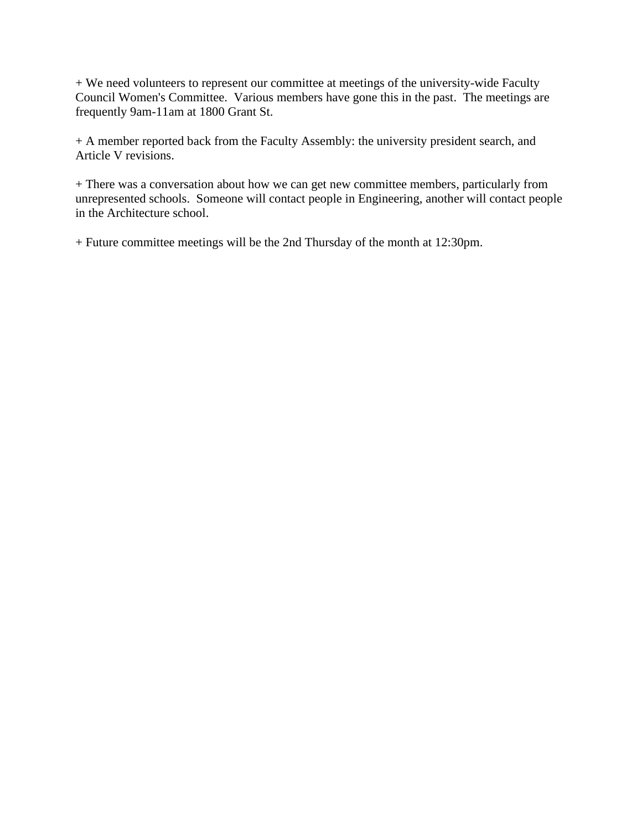+ We need volunteers to represent our committee at meetings of the university-wide Faculty Council Women's Committee. Various members have gone this in the past. The meetings are frequently 9am-11am at 1800 Grant St.

+ A member reported back from the Faculty Assembly: the university president search, and Article V revisions.

+ There was a conversation about how we can get new committee members, particularly from unrepresented schools. Someone will contact people in Engineering, another will contact people in the Architecture school.

+ Future committee meetings will be the 2nd Thursday of the month at 12:30pm.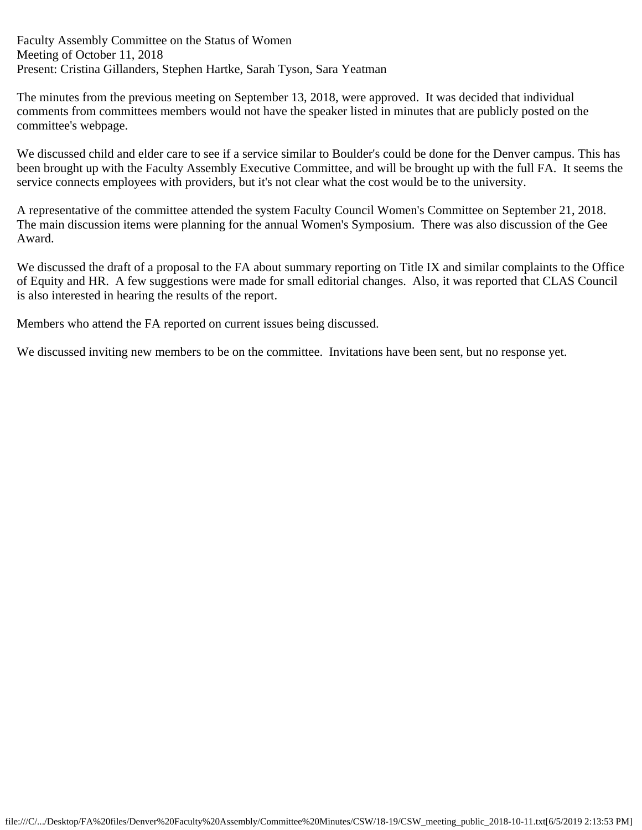Faculty Assembly Committee on the Status of Women Meeting of October 11, 2018 Present: Cristina Gillanders, Stephen Hartke, Sarah Tyson, Sara Yeatman

The minutes from the previous meeting on September 13, 2018, were approved. It was decided that individual comments from committees members would not have the speaker listed in minutes that are publicly posted on the committee's webpage.

We discussed child and elder care to see if a service similar to Boulder's could be done for the Denver campus. This has been brought up with the Faculty Assembly Executive Committee, and will be brought up with the full FA. It seems the service connects employees with providers, but it's not clear what the cost would be to the university.

A representative of the committee attended the system Faculty Council Women's Committee on September 21, 2018. The main discussion items were planning for the annual Women's Symposium. There was also discussion of the Gee Award.

We discussed the draft of a proposal to the FA about summary reporting on Title IX and similar complaints to the Office of Equity and HR. A few suggestions were made for small editorial changes. Also, it was reported that CLAS Council is also interested in hearing the results of the report.

Members who attend the FA reported on current issues being discussed.

We discussed inviting new members to be on the committee. Invitations have been sent, but no response yet.